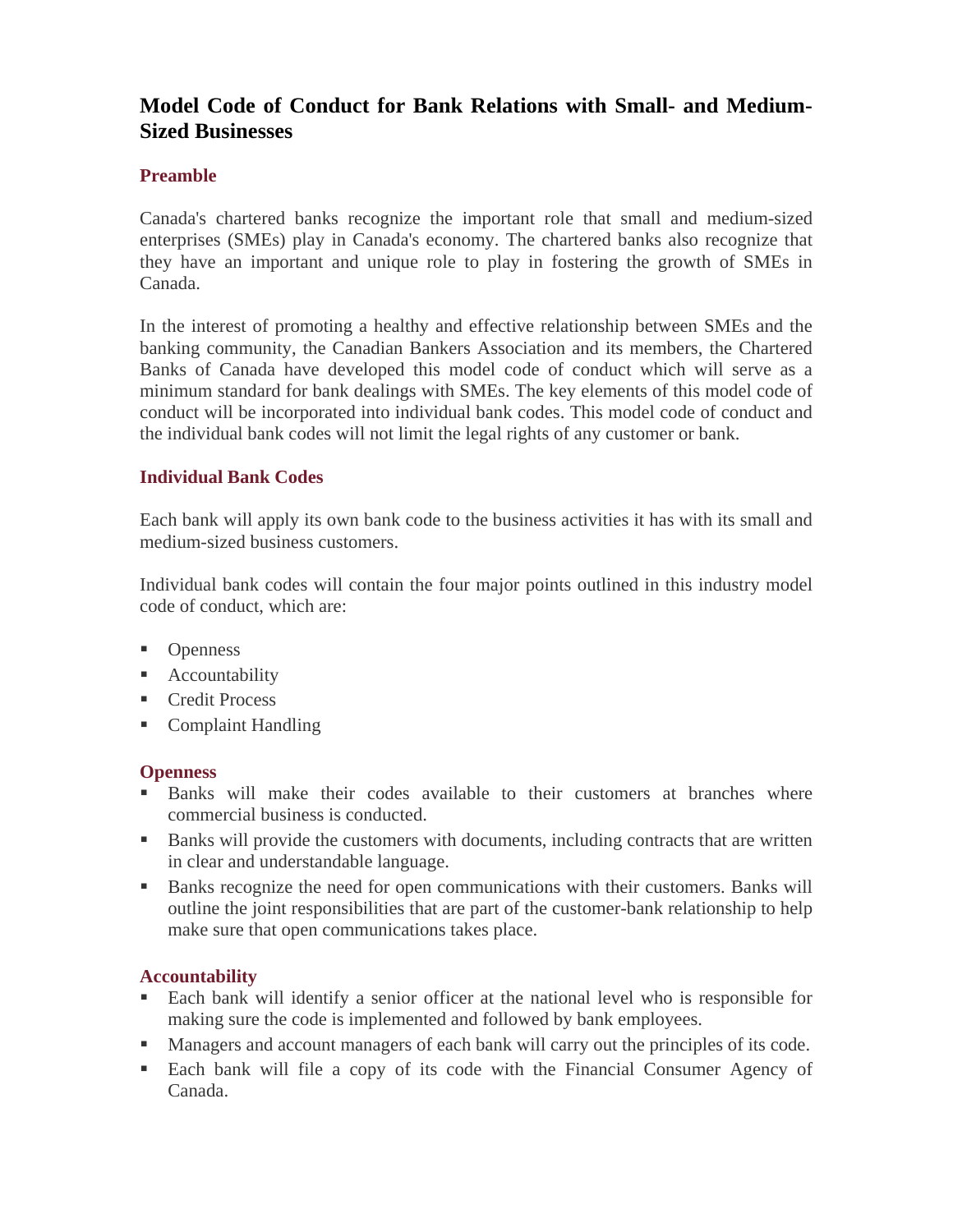# **Model Code of Conduct for Bank Relations with Small- and Medium-Sized Businesses**

## **Preamble**

Canada's chartered banks recognize the important role that small and medium-sized enterprises (SMEs) play in Canada's economy. The chartered banks also recognize that they have an important and unique role to play in fostering the growth of SMEs in Canada.

In the interest of promoting a healthy and effective relationship between SMEs and the banking community, the Canadian Bankers Association and its members, the Chartered Banks of Canada have developed this model code of conduct which will serve as a minimum standard for bank dealings with SMEs. The key elements of this model code of conduct will be incorporated into individual bank codes. This model code of conduct and the individual bank codes will not limit the legal rights of any customer or bank.

## **Individual Bank Codes**

Each bank will apply its own bank code to the business activities it has with its small and medium-sized business customers.

Individual bank codes will contain the four major points outlined in this industry model code of conduct, which are:

- Openness
- **Accountability**
- Credit Process
- Complaint Handling

#### **Openness**

- Banks will make their codes available to their customers at branches where commercial business is conducted.
- Banks will provide the customers with documents, including contracts that are written in clear and understandable language.
- Banks recognize the need for open communications with their customers. Banks will outline the joint responsibilities that are part of the customer-bank relationship to help make sure that open communications takes place.

#### **Accountability**

- Each bank will identify a senior officer at the national level who is responsible for making sure the code is implemented and followed by bank employees.
- **Managers and account managers of each bank will carry out the principles of its code.**
- Each bank will file a copy of its code with the Financial Consumer Agency of Canada.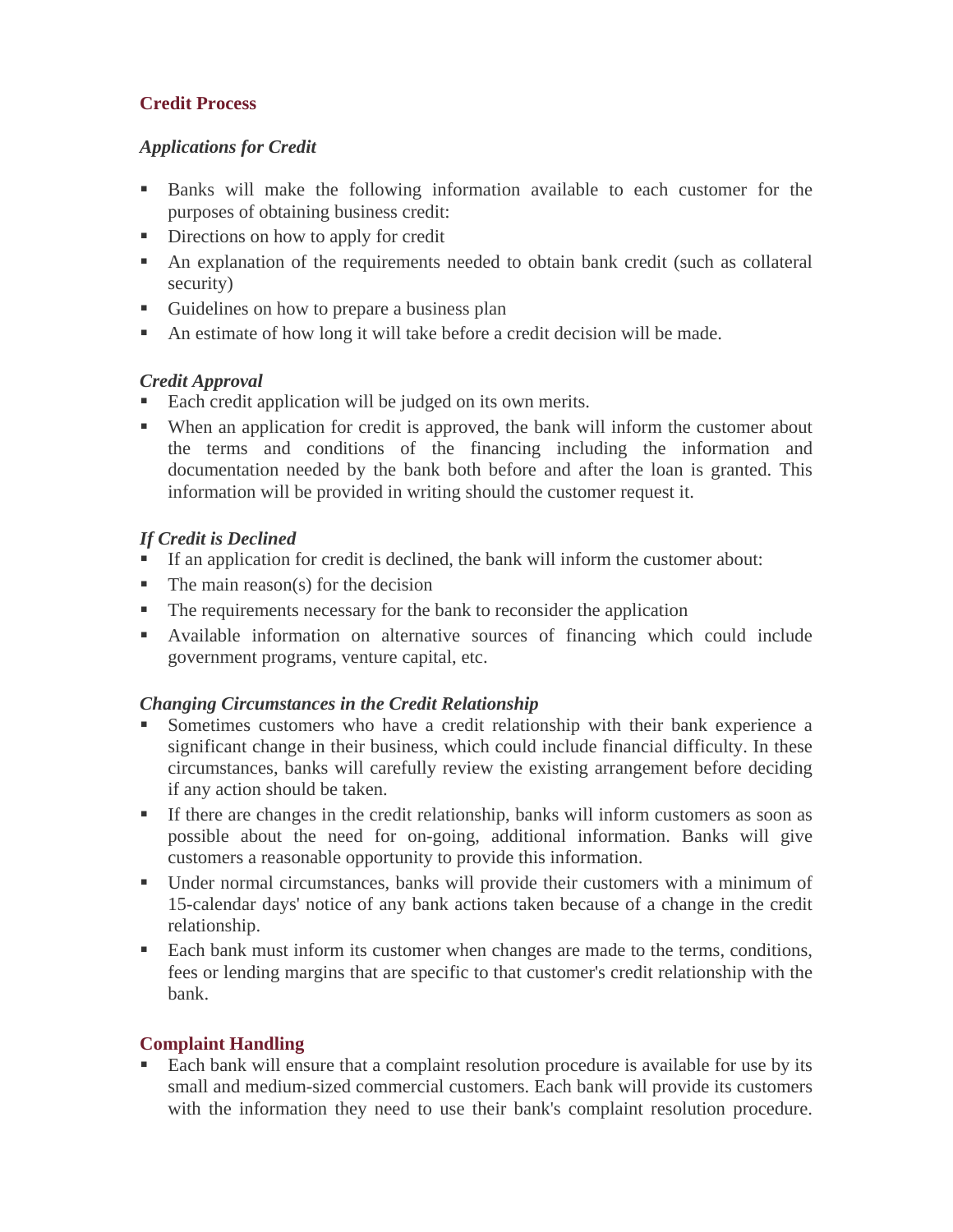# **Credit Process**

# *Applications for Credit*

- Banks will make the following information available to each customer for the purposes of obtaining business credit:
- Directions on how to apply for credit
- An explanation of the requirements needed to obtain bank credit (such as collateral security)
- Guidelines on how to prepare a business plan
- An estimate of how long it will take before a credit decision will be made.

# *Credit Approval*

- Each credit application will be judged on its own merits.
- When an application for credit is approved, the bank will inform the customer about the terms and conditions of the financing including the information and documentation needed by the bank both before and after the loan is granted. This information will be provided in writing should the customer request it.

# *If Credit is Declined*

- If an application for credit is declined, the bank will inform the customer about:
- $\blacksquare$  The main reason(s) for the decision
- The requirements necessary for the bank to reconsider the application
- Available information on alternative sources of financing which could include government programs, venture capital, etc.

## *Changing Circumstances in the Credit Relationship*

- Sometimes customers who have a credit relationship with their bank experience a significant change in their business, which could include financial difficulty. In these circumstances, banks will carefully review the existing arrangement before deciding if any action should be taken.
- If there are changes in the credit relationship, banks will inform customers as soon as possible about the need for on-going, additional information. Banks will give customers a reasonable opportunity to provide this information.
- Under normal circumstances, banks will provide their customers with a minimum of 15-calendar days' notice of any bank actions taken because of a change in the credit relationship.
- Each bank must inform its customer when changes are made to the terms, conditions, fees or lending margins that are specific to that customer's credit relationship with the bank.

## **Complaint Handling**

 Each bank will ensure that a complaint resolution procedure is available for use by its small and medium-sized commercial customers. Each bank will provide its customers with the information they need to use their bank's complaint resolution procedure.